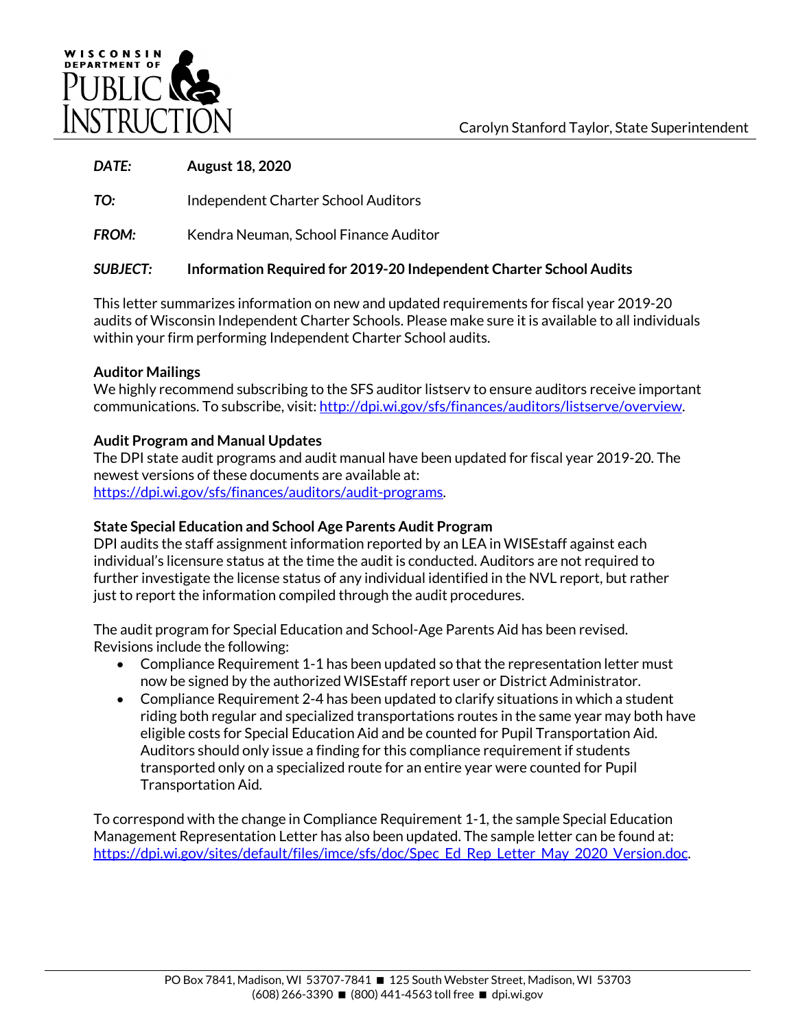

## *DATE:* **August 18, 2020**

**TO:** Independent Charter School Auditors

**FROM:** Kendra Neuman, School Finance Auditor

# *SUBJECT:* **Information Required for 2019-20 Independent Charter School Audits**

This letter summarizes information on new and updated requirements for fiscal year 2019-20 audits of Wisconsin Independent Charter Schools. Please make sure it is available to all individuals within your firm performing Independent Charter School audits.

## **Auditor Mailings**

We highly recommend subscribing to the SFS auditor listserv to ensure auditors receive important communications. To subscribe, visit: [http://dpi.wi.gov/sfs/finances/auditors/listserve/overview.](http://dpi.wi.gov/sfs/finances/auditors/listserve/overview)

# **Audit Program and Manual Updates**

The DPI state audit programs and audit manual have been updated for fiscal year 2019-20. The newest versions of these documents are available at: [https://dpi.wi.gov/sfs/finances/auditors/audit-programs.](https://dpi.wi.gov/sfs/finances/auditors/audit-programs)

# **State Special Education and School Age Parents Audit Program**

DPI audits the staff assignment information reported by an LEA in WISEstaff against each individual's licensure status at the time the audit is conducted. Auditors are not required to further investigate the license status of any individual identified in the NVL report, but rather just to report the information compiled through the audit procedures.

The audit program for Special Education and School-Age Parents Aid has been revised. Revisions include the following:

- Compliance Requirement 1-1 has been updated so that the representation letter must now be signed by the authorized WISEstaff report user or District Administrator.
- Compliance Requirement 2-4 has been updated to clarify situations in which a student riding both regular and specialized transportations routes in the same year may both have eligible costs for Special Education Aid and be counted for Pupil Transportation Aid. Auditors should only issue a finding for this compliance requirement if students transported only on a specialized route for an entire year were counted for Pupil Transportation Aid.

To correspond with the change in Compliance Requirement 1-1, the sample Special Education Management Representation Letter has also been updated. The sample letter can be found at: [https://dpi.wi.gov/sites/default/files/imce/sfs/doc/Spec\\_Ed\\_Rep\\_Letter\\_May\\_2020\\_Version.doc.](https://dpi.wi.gov/sites/default/files/imce/sfs/doc/Spec_Ed_Rep_Letter_May_2020_Version.doc)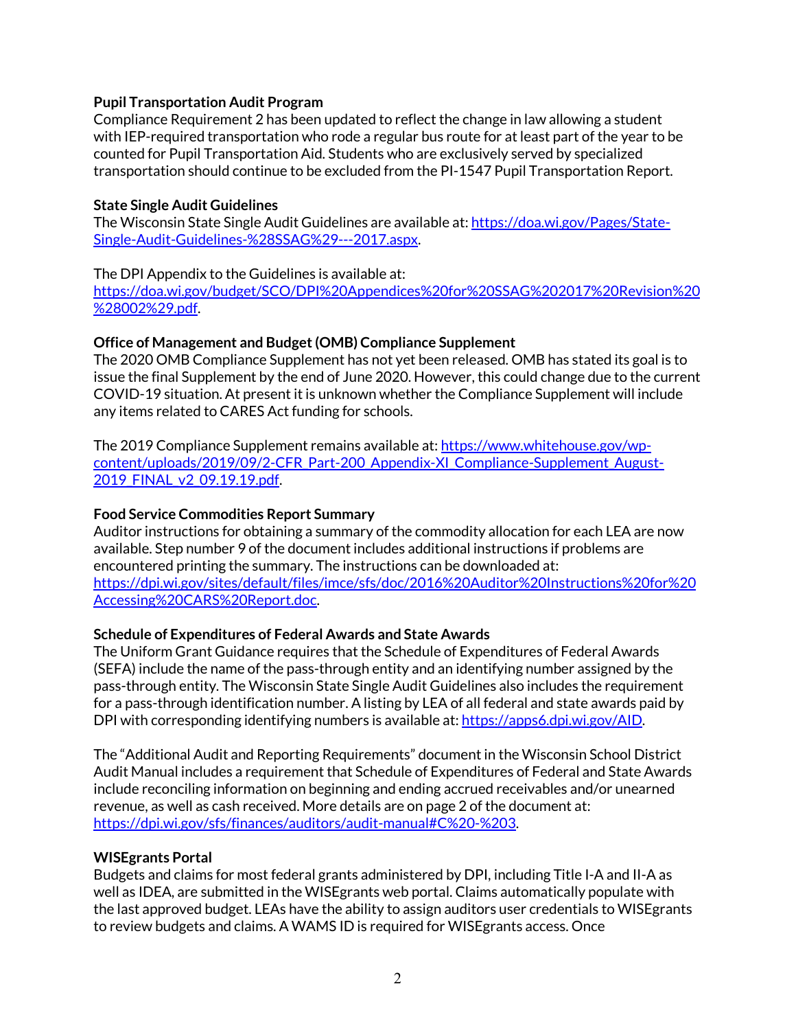### **Pupil Transportation Audit Program**

Compliance Requirement 2 has been updated to reflect the change in law allowing a student with IEP-required transportation who rode a regular bus route for at least part of the year to be counted for Pupil Transportation Aid. Students who are exclusively served by specialized transportation should continue to be excluded from the PI-1547 Pupil Transportation Report.

#### **State Single Audit Guidelines**

The Wisconsin State Single Audit Guidelines are available at: [https://doa.wi.gov/Pages/State-](https://doa.wi.gov/Pages/State-Single-Audit-Guidelines-%28SSAG%29---2017.aspx)[Single-Audit-Guidelines-%28SSAG%29---2017.aspx.](https://doa.wi.gov/Pages/State-Single-Audit-Guidelines-%28SSAG%29---2017.aspx) 

#### The DPI Appendix to the Guidelines is available at:

[https://doa.wi.gov/budget/SCO/DPI%20Appendices%20for%20SSAG%202017%20Revision%20](https://doa.wi.gov/budget/SCO/DPI%20Appendices%20for%20SSAG%202017%20Revision%20%28002%29.pdf) [%28002%29.pdf.](https://doa.wi.gov/budget/SCO/DPI%20Appendices%20for%20SSAG%202017%20Revision%20%28002%29.pdf)

### **Office of Management and Budget (OMB) Compliance Supplement**

The 2020 OMB Compliance Supplement has not yet been released. OMB has stated its goal is to issue the final Supplement by the end of June 2020. However, this could change due to the current COVID-19 situation. At present it is unknown whether the Compliance Supplement will include any items related to CARES Act funding for schools.

The 2019 Compliance Supplement remains available at: [https://www.whitehouse.gov/wp](https://www.whitehouse.gov/wp-content/uploads/2019/09/2-CFR_Part-200_Appendix-XI_Compliance-Supplement_August-2019_FINAL_v2_09.19.19.pdf)[content/uploads/2019/09/2-CFR\\_Part-200\\_Appendix-XI\\_Compliance-Supplement\\_August-](https://www.whitehouse.gov/wp-content/uploads/2019/09/2-CFR_Part-200_Appendix-XI_Compliance-Supplement_August-2019_FINAL_v2_09.19.19.pdf)[2019\\_FINAL\\_v2\\_09.19.19.pdf.](https://www.whitehouse.gov/wp-content/uploads/2019/09/2-CFR_Part-200_Appendix-XI_Compliance-Supplement_August-2019_FINAL_v2_09.19.19.pdf)

#### **Food Service Commodities Report Summary**

Auditor instructions for obtaining a summary of the commodity allocation for each LEA are now available. Step number 9 of the document includes additional instructions if problems are encountered printing the summary. The instructions can be downloaded at: [https://dpi.wi.gov/sites/default/files/imce/sfs/doc/2016%20Auditor%20Instructions%20for%20](https://dpi.wi.gov/sites/default/files/imce/sfs/doc/2016%20Auditor%20Instructions%20for%20Accessing%20CARS%20Report.doc) [Accessing%20CARS%20Report.doc.](https://dpi.wi.gov/sites/default/files/imce/sfs/doc/2016%20Auditor%20Instructions%20for%20Accessing%20CARS%20Report.doc) 

#### **Schedule of Expenditures of Federal Awards and State Awards**

The Uniform Grant Guidance requires that the Schedule of Expenditures of Federal Awards (SEFA) include the name of the pass-through entity and an identifying number assigned by the pass-through entity. The Wisconsin State Single Audit Guidelines also includes the requirement for a pass-through identification number. A listing by LEA of all federal and state awards paid by DPI with corresponding identifying numbers is available at[: https://apps6.dpi.wi.gov/AID.](https://apps6.dpi.wi.gov/AID)

The "Additional Audit and Reporting Requirements" document in the Wisconsin School District Audit Manual includes a requirement that Schedule of Expenditures of Federal and State Awards include reconciling information on beginning and ending accrued receivables and/or unearned revenue, as well as cash received. More details are on page 2 of the document at: [https://dpi.wi.gov/sfs/finances/auditors/audit-manual#C%20-%203.](https://dpi.wi.gov/sfs/finances/auditors/audit-manual#C%20-%203)

#### **WISEgrants Portal**

Budgets and claims for most federal grants administered by DPI, including Title I-A and II-A as well as IDEA, are submitted in the WISEgrants web portal. Claims automatically populate with the last approved budget. LEAs have the ability to assign auditors user credentials to WISEgrants to review budgets and claims. A WAMS ID is required for WISEgrants access. Once